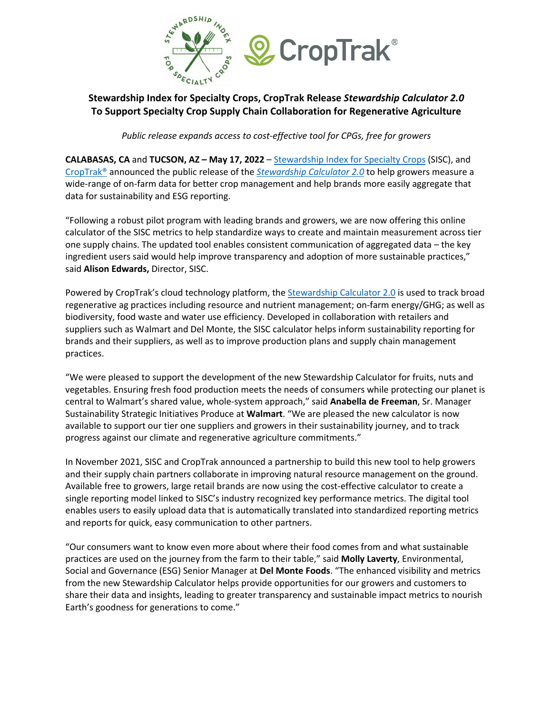

## **Stewardship Index for Specialty Crops, CropTrak Release** *Stewardship Calculator 2.0* **To Support Specialty Crop Supply Chain Collaboration for Regenerative Agriculture**

*Public release expands access to cost-effective tool for CPGs, free for growers* 

**CALABASAS, CA** and **TUCSON, AZ – May 17, 2022** – Stewardship Index for Specialty Crops (SISC), and CropTrak® announced the public release of the *Stewardship Calculator 2.0* to help growers measure a wide-range of on-farm data for better crop management and help brands more easily aggregate that data for sustainability and ESG reporting.

"Following a robust pilot program with leading brands and growers, we are now offering this online calculator of the SISC metrics to help standardize ways to create and maintain measurement across tier one supply chains. The updated tool enables consistent communication of aggregated data – the key ingredient users said would help improve transparency and adoption of more sustainable practices," said **Alison Edwards,** Director, SISC.

Powered by CropTrak's cloud technology platform, the Stewardship Calculator 2.0 is used to track broad regenerative ag practices including resource and nutrient management; on-farm energy/GHG; as well as biodiversity, food waste and water use efficiency. Developed in collaboration with retailers and suppliers such as Walmart and Del Monte, the SISC calculator helps inform sustainability reporting for brands and their suppliers, as well as to improve production plans and supply chain management practices.

"We were pleased to support the development of the new Stewardship Calculator for fruits, nuts and vegetables. Ensuring fresh food production meets the needs of consumers while protecting our planet is central to Walmart's shared value, whole-system approach," said **Anabella de Freeman**, Sr. Manager Sustainability Strategic Initiatives Produce at **Walmart**. "We are pleased the new calculator is now available to support our tier one suppliers and growers in their sustainability journey, and to track progress against our climate and regenerative agriculture commitments."

In November 2021, SISC and CropTrak announced a partnership to build this new tool to help growers and their supply chain partners collaborate in improving natural resource management on the ground. Available free to growers, large retail brands are now using the cost-effective calculator to create a single reporting model linked to SISC's industry recognized key performance metrics. The digital tool enables users to easily upload data that is automatically translated into standardized reporting metrics and reports for quick, easy communication to other partners.

"Our consumers want to know even more about where their food comes from and what sustainable practices are used on the journey from the farm to their table," said **Molly Laverty**, Environmental, Social and Governance (ESG) Senior Manager at **Del Monte Foods**. "The enhanced visibility and metrics from the new Stewardship Calculator helps provide opportunities for our growers and customers to share their data and insights, leading to greater transparency and sustainable impact metrics to nourish Earth's goodness for generations to come."